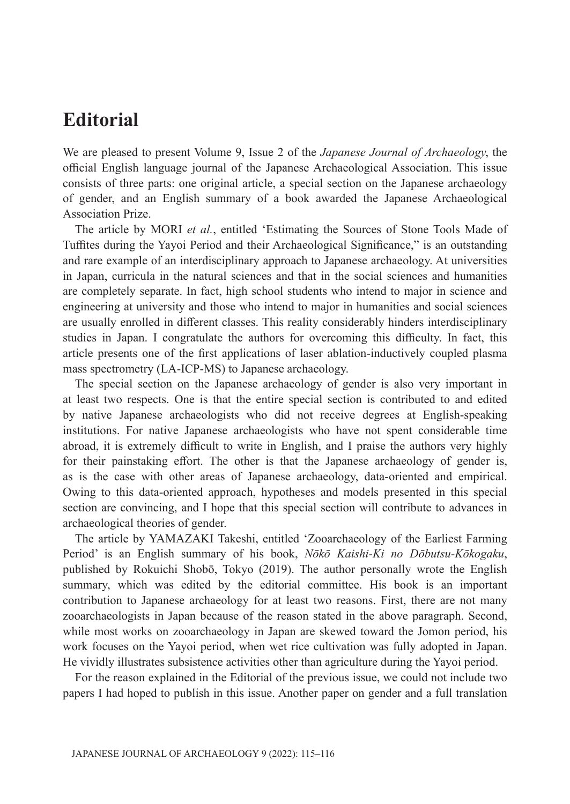## **Editorial**

We are pleased to present Volume 9, Issue 2 of the *Japanese Journal of Archaeology*, the official English language journal of the Japanese Archaeological Association. This issue consists of three parts: one original article, a special section on the Japanese archaeology of gender, and an English summary of a book awarded the Japanese Archaeological Association Prize.

The article by MORI *et al.*, entitled 'Estimating the Sources of Stone Tools Made of Tuffites during the Yayoi Period and their Archaeological Significance," is an outstanding and rare example of an interdisciplinary approach to Japanese archaeology. At universities in Japan, curricula in the natural sciences and that in the social sciences and humanities are completely separate. In fact, high school students who intend to major in science and engineering at university and those who intend to major in humanities and social sciences are usually enrolled in different classes. This reality considerably hinders interdisciplinary studies in Japan. I congratulate the authors for overcoming this difficulty. In fact, this article presents one of the first applications of laser ablation-inductively coupled plasma mass spectrometry (LA-ICP-MS) to Japanese archaeology.

The special section on the Japanese archaeology of gender is also very important in at least two respects. One is that the entire special section is contributed to and edited by native Japanese archaeologists who did not receive degrees at English-speaking institutions. For native Japanese archaeologists who have not spent considerable time abroad, it is extremely difficult to write in English, and I praise the authors very highly for their painstaking effort. The other is that the Japanese archaeology of gender is, as is the case with other areas of Japanese archaeology, data-oriented and empirical. Owing to this data-oriented approach, hypotheses and models presented in this special section are convincing, and I hope that this special section will contribute to advances in archaeological theories of gender.

The article by YAMAZAKI Takeshi, entitled 'Zooarchaeology of the Earliest Farming Period' is an English summary of his book, *Nōkō Kaishi-Ki no Dōbutsu-Kōkogaku*, published by Rokuichi Shobō, Tokyo (2019). The author personally wrote the English summary, which was edited by the editorial committee. His book is an important contribution to Japanese archaeology for at least two reasons. First, there are not many zooarchaeologists in Japan because of the reason stated in the above paragraph. Second, while most works on zooarchaeology in Japan are skewed toward the Jomon period, his work focuses on the Yayoi period, when wet rice cultivation was fully adopted in Japan. He vividly illustrates subsistence activities other than agriculture during the Yayoi period.

For the reason explained in the Editorial of the previous issue, we could not include two papers I had hoped to publish in this issue. Another paper on gender and a full translation